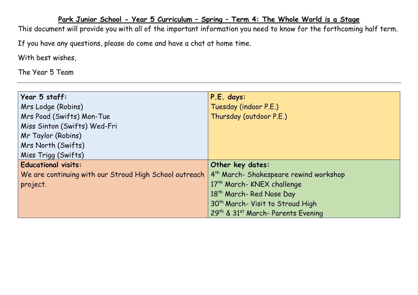## **Park Junior School - Year 5 Curriculum – Spring – Term 4: The Whole World is a Stage**

This document will provide you with all of the important information you need to know for the forthcoming half term. If you have any questions, please do come and have a chat at home time.

With best wishes,

The Year 5 Team

| Year 5 staff:                                          | P.E. days:                                         |
|--------------------------------------------------------|----------------------------------------------------|
| Mrs Lodge (Robins)                                     | Tuesday (indoor P.E.)                              |
| Mrs Poad (Swifts) Mon-Tue                              | Thursday (outdoor P.E.)                            |
| Miss Sinton (Swifts) Wed-Fri                           |                                                    |
| Mr Taylor (Robins)                                     |                                                    |
| Mrs North (Swifts)                                     |                                                    |
| Miss Trigg (Swifts)                                    |                                                    |
| <b>Educational visits:</b>                             | Other key dates:                                   |
| We are continuing with our Stroud High School outreach | 4 <sup>th</sup> March- Shakespeare rewind workshop |
| project.                                               | 17th March- KNEX challenge                         |
|                                                        | 18 <sup>th</sup> March-Red Nose Day                |
|                                                        | 30 <sup>th</sup> March- Visit to Stroud High       |
|                                                        | 29th & 31st March-Parents Evening                  |